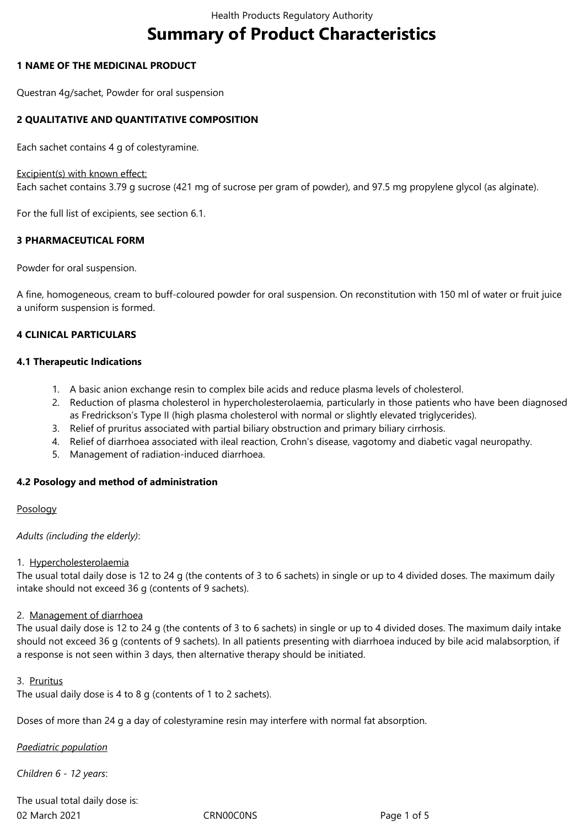# **Summary of Product Characteristics**

## **1 NAME OF THE MEDICINAL PRODUCT**

Questran 4g/sachet, Powder for oral suspension

# **2 QUALITATIVE AND QUANTITATIVE COMPOSITION**

Each sachet contains 4 g of colestyramine.

### Excipient(s) with known effect:

Each sachet contains 3.79 g sucrose (421 mg of sucrose per gram of powder), and 97.5 mg propylene glycol (as alginate).

For the full list of excipients, see section 6.1.

## **3 PHARMACEUTICAL FORM**

Powder for oral suspension.

A fine, homogeneous, cream to buff-coloured powder for oral suspension. On reconstitution with 150 ml of water or fruit juice a uniform suspension is formed.

## **4 CLINICAL PARTICULARS**

### **4.1 Therapeutic Indications**

- 1. A basic anion exchange resin to complex bile acids and reduce plasma levels of cholesterol.
- 2. Reduction of plasma cholesterol in hypercholesterolaemia, particularly in those patients who have been diagnosed as Fredrickson's Type II (high plasma cholesterol with normal or slightly elevated triglycerides).
- 3. Relief of pruritus associated with partial biliary obstruction and primary biliary cirrhosis.
- 4. Relief of diarrhoea associated with ileal reaction, Crohn's disease, vagotomy and diabetic vagal neuropathy.
- 5. Management of radiation-induced diarrhoea.

# **4.2 Posology and method of administration**

### Posology

*Adults (including the elderly)*:

### 1. Hypercholesterolaemia

The usual total daily dose is 12 to 24 g (the contents of 3 to 6 sachets) in single or up to 4 divided doses. The maximum daily intake should not exceed 36 g (contents of 9 sachets).

# 2. Management of diarrhoea

The usual daily dose is 12 to 24 g (the contents of 3 to 6 sachets) in single or up to 4 divided doses. The maximum daily intake should not exceed 36 g (contents of 9 sachets). In all patients presenting with diarrhoea induced by bile acid malabsorption, if a response is not seen within 3 days, then alternative therapy should be initiated.

### 3. Pruritus

The usual daily dose is 4 to 8 g (contents of 1 to 2 sachets).

Doses of more than 24 g a day of colestyramine resin may interfere with normal fat absorption.

*Paediatric population*

*Children 6 - 12 years*:

02 March 2021 CRN00C0NS Page 1 of 5 The usual total daily dose is: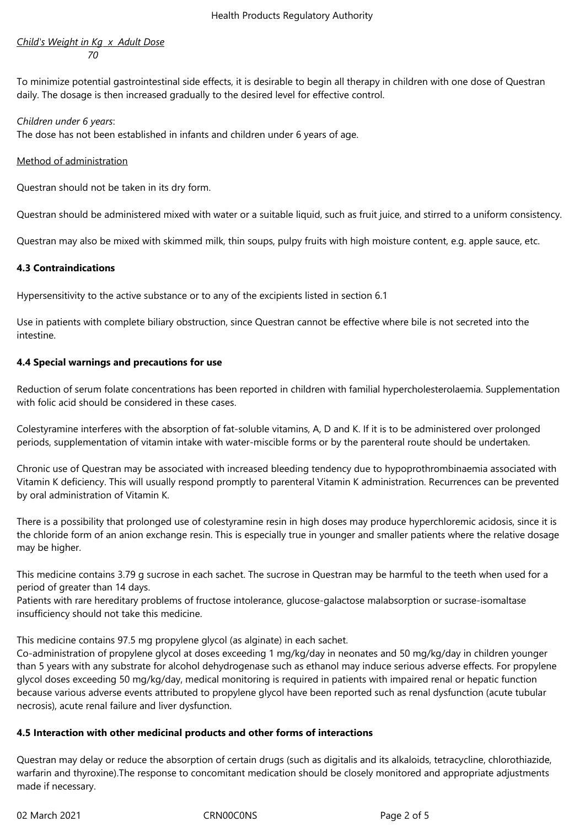## *Child's Weight in Kg x Adult Dose 70*

To minimize potential gastrointestinal side effects, it is desirable to begin all therapy in children with one dose of Questran daily. The dosage is then increased gradually to the desired level for effective control.

## *Children under 6 years*:

The dose has not been established in infants and children under 6 years of age.

## Method of administration

Questran should not be taken in its dry form.

Questran should be administered mixed with water or a suitable liquid, such as fruit juice, and stirred to a uniform consistency.

Questran may also be mixed with skimmed milk, thin soups, pulpy fruits with high moisture content, e.g. apple sauce, etc.

# **4.3 Contraindications**

Hypersensitivity to the active substance or to any of the excipients listed in section 6.1

Use in patients with complete biliary obstruction, since Questran cannot be effective where bile is not secreted into the intestine.

# **4.4 Special warnings and precautions for use**

Reduction of serum folate concentrations has been reported in children with familial hypercholesterolaemia. Supplementation with folic acid should be considered in these cases.

Colestyramine interferes with the absorption of fat-soluble vitamins, A, D and K. If it is to be administered over prolonged periods, supplementation of vitamin intake with water-miscible forms or by the parenteral route should be undertaken.

Chronic use of Questran may be associated with increased bleeding tendency due to hypoprothrombinaemia associated with Vitamin K deficiency. This will usually respond promptly to parenteral Vitamin K administration. Recurrences can be prevented by oral administration of Vitamin K.

There is a possibility that prolonged use of colestyramine resin in high doses may produce hyperchloremic acidosis, since it is the chloride form of an anion exchange resin. This is especially true in younger and smaller patients where the relative dosage may be higher.

This medicine contains 3.79 g sucrose in each sachet. The sucrose in Questran may be harmful to the teeth when used for a period of greater than 14 days.

Patients with rare hereditary problems of fructose intolerance, glucose-galactose malabsorption or sucrase-isomaltase insufficiency should not take this medicine.

This medicine contains 97.5 mg propylene glycol (as alginate) in each sachet.

Co-administration of propylene glycol at doses exceeding 1 mg/kg/day in neonates and 50 mg/kg/day in children younger than 5 years with any substrate for alcohol dehydrogenase such as ethanol may induce serious adverse effects. For propylene glycol doses exceeding 50 mg/kg/day, medical monitoring is required in patients with impaired renal or hepatic function because various adverse events attributed to propylene glycol have been reported such as renal dysfunction (acute tubular necrosis), acute renal failure and liver dysfunction.

# **4.5 Interaction with other medicinal products and other forms of interactions**

Questran may delay or reduce the absorption of certain drugs (such as digitalis and its alkaloids, tetracycline, chlorothiazide, warfarin and thyroxine).The response to concomitant medication should be closely monitored and appropriate adjustments made if necessary.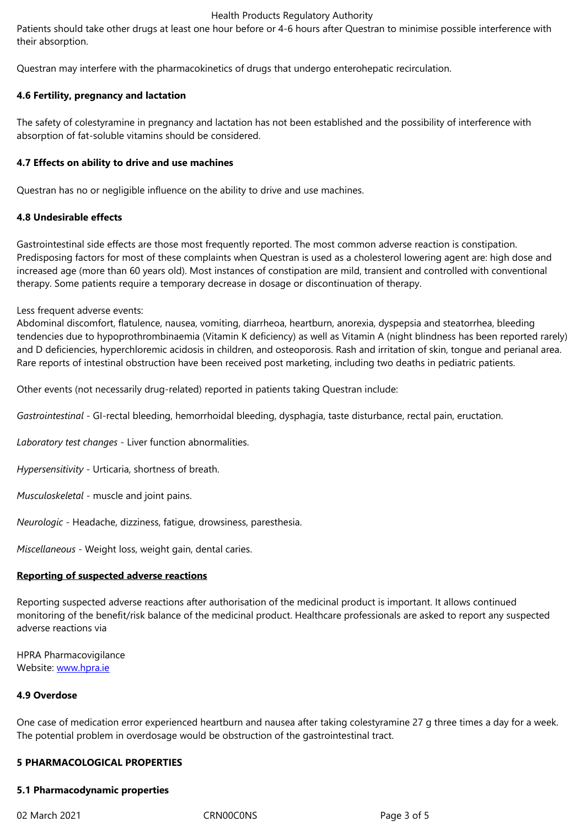Questran may interfere with the pharmacokinetics of drugs that undergo enterohepatic recirculation.

## **4.6 Fertility, pregnancy and lactation**

The safety of colestyramine in pregnancy and lactation has not been established and the possibility of interference with absorption of fat-soluble vitamins should be considered.

## **4.7 Effects on ability to drive and use machines**

Questran has no or negligible influence on the ability to drive and use machines.

## **4.8 Undesirable effects**

Gastrointestinal side effects are those most frequently reported. The most common adverse reaction is constipation. Predisposing factors for most of these complaints when Questran is used as a cholesterol lowering agent are: high dose and increased age (more than 60 years old). Most instances of constipation are mild, transient and controlled with conventional therapy. Some patients require a temporary decrease in dosage or discontinuation of therapy.

Less frequent adverse events:

Abdominal discomfort, flatulence, nausea, vomiting, diarrheoa, heartburn, anorexia, dyspepsia and steatorrhea, bleeding tendencies due to hypoprothrombinaemia (Vitamin K deficiency) as well as Vitamin A (night blindness has been reported rarely) and D deficiencies, hyperchloremic acidosis in children, and osteoporosis. Rash and irritation of skin, tongue and perianal area. Rare reports of intestinal obstruction have been received post marketing, including two deaths in pediatric patients.

Other events (not necessarily drug-related) reported in patients taking Questran include:

*Gastrointestinal* - GI-rectal bleeding, hemorrhoidal bleeding, dysphagia, taste disturbance, rectal pain, eructation.

*Laboratory test changes* - Liver function abnormalities.

*Hypersensitivity* - Urticaria, shortness of breath.

*Musculoskeletal* - muscle and joint pains.

*Neurologic* - Headache, dizziness, fatigue, drowsiness, paresthesia.

*Miscellaneous* - Weight loss, weight gain, dental caries.

### **Reporting of suspected adverse reactions**

Reporting suspected adverse reactions after authorisation of the medicinal product is important. It allows continued monitoring of the benefit/risk balance of the medicinal product. Healthcare professionals are asked to report any suspected adverse reactions via

HPRA Pharmacovigilance Website: www.hpra.ie

### **4.9 Overdose**

One case [of medicatio](http://www.hpra.ie/)n error experienced heartburn and nausea after taking colestyramine 27 g three times a day for a week. The potential problem in overdosage would be obstruction of the gastrointestinal tract.

# **5 PHARMACOLOGICAL PROPERTIES**

### **5.1 Pharmacodynamic properties**

02 March 2021 CRN00C0NS Page 3 of 5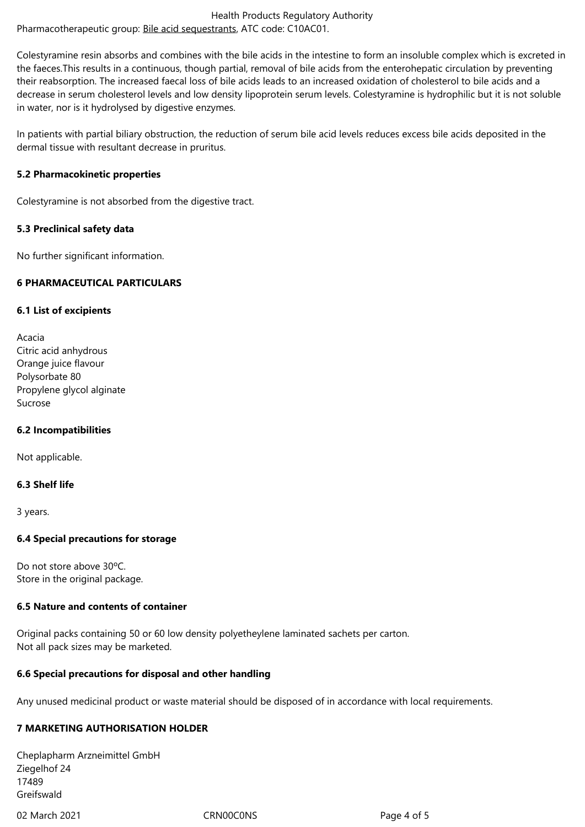Colestyramine resin absorbs and combines with the bile acids in the intestine to form an insoluble complex which is excreted in the faeces.This results in a continuous, though partial, removal of bile acids from the enterohepatic circulation by preventing their reabsorption. The incre[ased faecal loss of bile](http://www.whocc.no/atc_ddd_index/?code=C10AC) acids leads to an increased oxidation of cholesterol to bile acids and a decrease in serum cholesterol levels and low density lipoprotein serum levels. Colestyramine is hydrophilic but it is not soluble in water, nor is it hydrolysed by digestive enzymes.

In patients with partial biliary obstruction, the reduction of serum bile acid levels reduces excess bile acids deposited in the dermal tissue with resultant decrease in pruritus.

## **5.2 Pharmacokinetic properties**

Colestyramine is not absorbed from the digestive tract.

## **5.3 Preclinical safety data**

No further significant information.

# **6 PHARMACEUTICAL PARTICULARS**

## **6.1 List of excipients**

Acacia Citric acid anhydrous Orange juice flavour Polysorbate 80 Propylene glycol alginate Sucrose

# **6.2 Incompatibilities**

Not applicable.

# **6.3 Shelf life**

3 years.

### **6.4 Special precautions for storage**

Do not store above 30ºC. Store in the original package.

# **6.5 Nature and contents of container**

Original packs containing 50 or 60 low density polyetheylene laminated sachets per carton. Not all pack sizes may be marketed.

# **6.6 Special precautions for disposal and other handling**

Any unused medicinal product or waste material should be disposed of in accordance with local requirements.

# **7 MARKETING AUTHORISATION HOLDER**

Cheplapharm Arzneimittel GmbH Ziegelhof 24 17489 Greifswald

02 March 2021 CRN00C0NS Page 4 of 5